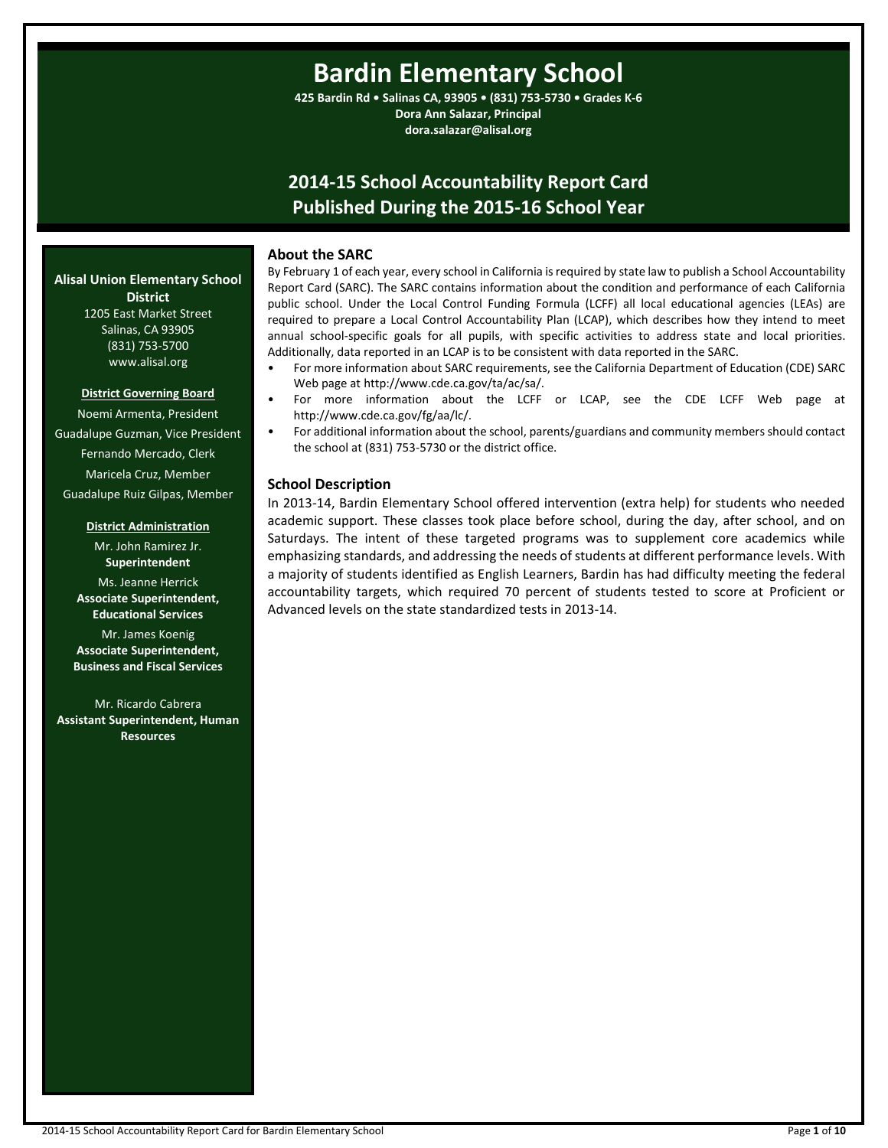# **Bardin Elementary School**

**425 Bardin Rd • Salinas CA, 93905 • (831) 753-5730 • Grades K-6 Dora Ann Salazar, Principal dora.salazar@alisal.org**

# **2014-15 School Accountability Report Card Published During the 2015-16 School Year**

# **About the SARC**

By February 1 of each year, every school in California is required by state law to publish a School Accountability Report Card (SARC). The SARC contains information about the condition and performance of each California public school. Under the Local Control Funding Formula (LCFF) all local educational agencies (LEAs) are required to prepare a Local Control Accountability Plan (LCAP), which describes how they intend to meet annual school-specific goals for all pupils, with specific activities to address state and local priorities. Additionally, data reported in an LCAP is to be consistent with data reported in the SARC.

- For more information about SARC requirements, see the California Department of Education (CDE) SARC Web page at http://www.cde.ca.gov/ta/ac/sa/.
	- For more information about the LCFF or LCAP, see the CDE LCFF Web page at http://www.cde.ca.gov/fg/aa/lc/.
- For additional information about the school, parents/guardians and community members should contact the school at (831) 753-5730 or the district office.

# **School Description**

In 2013-14, Bardin Elementary School offered intervention (extra help) for students who needed academic support. These classes took place before school, during the day, after school, and on Saturdays. The intent of these targeted programs was to supplement core academics while emphasizing standards, and addressing the needs of students at different performance levels. With a majority of students identified as English Learners, Bardin has had difficulty meeting the federal accountability targets, which required 70 percent of students tested to score at Proficient or Advanced levels on the state standardized tests in 2013-14.

#### **Alisal Union Elementary School District** 1205 East Market Street

Salinas, CA 93905 (831) 753-5700 www.alisal.org

#### **District Governing Board**

Noemi Armenta, President Guadalupe Guzman, Vice President Fernando Mercado, Clerk Maricela Cruz, Member Guadalupe Ruiz Gilpas, Member

#### **District Administration**

Mr. John Ramirez Jr. **Superintendent** Ms. Jeanne Herrick **Associate Superintendent, Educational Services**

Mr. James Koenig **Associate Superintendent, Business and Fiscal Services**

Mr. Ricardo Cabrera **Assistant Superintendent, Human Resources**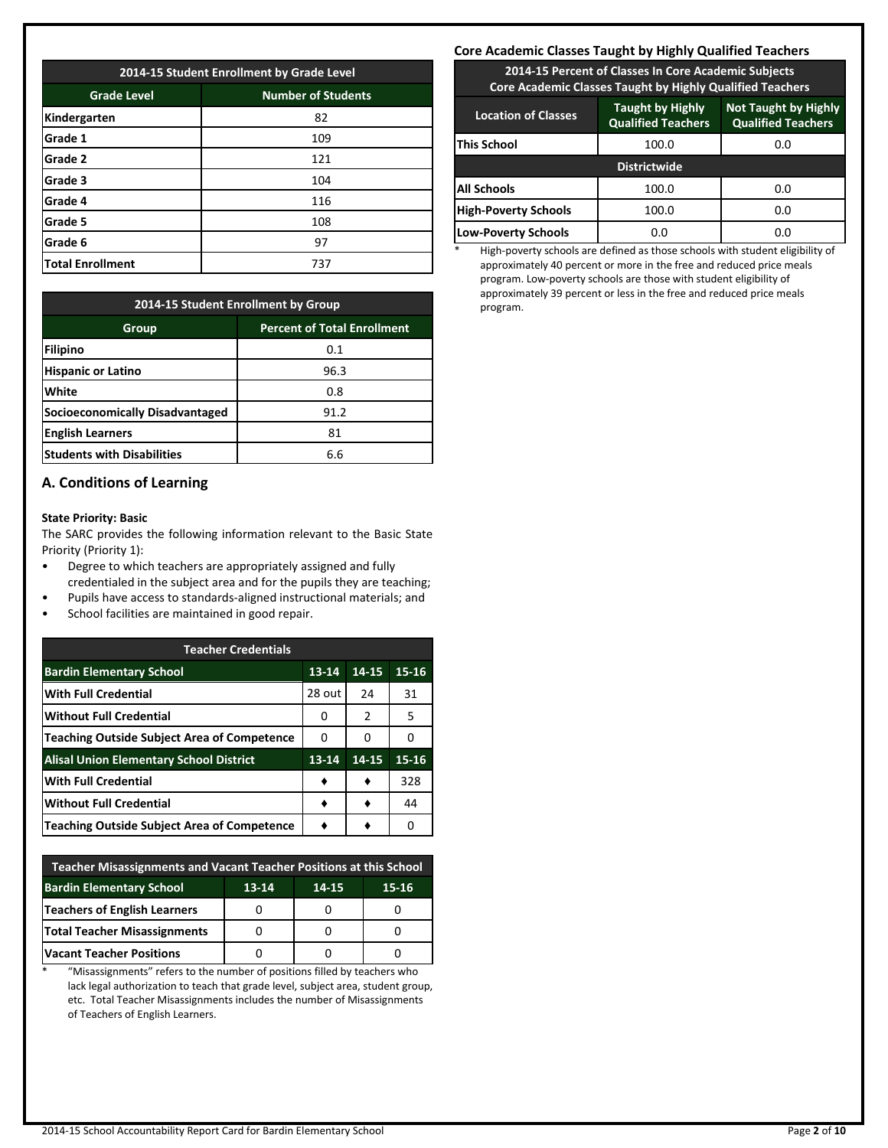| 2014-15 Student Enrollment by Grade Level       |     |  |  |  |  |  |
|-------------------------------------------------|-----|--|--|--|--|--|
| <b>Number of Students</b><br><b>Grade Level</b> |     |  |  |  |  |  |
| Kindergarten                                    | 82  |  |  |  |  |  |
| Grade 1                                         | 109 |  |  |  |  |  |
| Grade 2                                         | 121 |  |  |  |  |  |
| Grade 3                                         | 104 |  |  |  |  |  |
| Grade 4                                         | 116 |  |  |  |  |  |
| Grade 5                                         | 108 |  |  |  |  |  |
| Grade 6                                         | 97  |  |  |  |  |  |
| <b>Total Enrollment</b>                         | 737 |  |  |  |  |  |

| 2014-15 Student Enrollment by Group         |      |  |  |  |  |  |
|---------------------------------------------|------|--|--|--|--|--|
| <b>Percent of Total Enrollment</b><br>Group |      |  |  |  |  |  |
| Filipino                                    | 0.1  |  |  |  |  |  |
| <b>Hispanic or Latino</b>                   | 96.3 |  |  |  |  |  |
| White                                       | 0.8  |  |  |  |  |  |
| Socioeconomically Disadvantaged             | 91.2 |  |  |  |  |  |
| <b>English Learners</b>                     | 81   |  |  |  |  |  |
| <b>Students with Disabilities</b>           | 6.6  |  |  |  |  |  |

# **A. Conditions of Learning**

#### **State Priority: Basic**

The SARC provides the following information relevant to the Basic State Priority (Priority 1):

- Degree to which teachers are appropriately assigned and fully credentialed in the subject area and for the pupils they are teaching;
- Pupils have access to standards-aligned instructional materials; and
- School facilities are maintained in good repair.

| <b>Teacher Credentials</b>                         |           |       |           |  |  |  |  |
|----------------------------------------------------|-----------|-------|-----------|--|--|--|--|
| <b>Bardin Elementary School</b>                    | $13 - 14$ | 14-15 | 15-16     |  |  |  |  |
| <b>With Full Credential</b>                        | 28 out    | 24    | 31        |  |  |  |  |
| <b>Without Full Credential</b>                     | O         | 2     | 5         |  |  |  |  |
| <b>Teaching Outside Subject Area of Competence</b> | 0         | 0     | ŋ         |  |  |  |  |
| <b>Alisal Union Elementary School District</b>     | $13 - 14$ | 14-15 | $15 - 16$ |  |  |  |  |
| <b>With Full Credential</b>                        | ٠         |       | 328       |  |  |  |  |
| <b>Without Full Credential</b>                     |           |       | 44        |  |  |  |  |
| Teaching Outside Subject Area of Competence        |           |       |           |  |  |  |  |

| Teacher Misassignments and Vacant Teacher Positions at this School |  |  |  |  |  |  |  |  |
|--------------------------------------------------------------------|--|--|--|--|--|--|--|--|
| <b>Bardin Elementary School</b><br>$13 - 14$<br>$15 - 16$<br>14-15 |  |  |  |  |  |  |  |  |
| Teachers of English Learners                                       |  |  |  |  |  |  |  |  |
| <b>Total Teacher Misassignments</b>                                |  |  |  |  |  |  |  |  |
| <b>Vacant Teacher Positions</b>                                    |  |  |  |  |  |  |  |  |

\* "Misassignments" refers to the number of positions filled by teachers who lack legal authorization to teach that grade level, subject area, student group, etc. Total Teacher Misassignments includes the number of Misassignments of Teachers of English Learners.

## **Core Academic Classes Taught by Highly Qualified Teachers**

**2014-15 Percent of Classes In Core Academic Subjects Core Academic Classes Taught by Highly Qualified Teachers**

| <b>Location of Classes</b>  | <b>Taught by Highly</b><br><b>Qualified Teachers</b> | <b>Not Taught by Highly</b><br><b>Qualified Teachers</b> |  |  |
|-----------------------------|------------------------------------------------------|----------------------------------------------------------|--|--|
| This School                 | 100.0                                                | 0.0                                                      |  |  |
|                             | <b>Districtwide</b>                                  |                                                          |  |  |
| <b>All Schools</b>          | 100.0                                                | 0.0                                                      |  |  |
| <b>High-Poverty Schools</b> | 100.0                                                | 0.0                                                      |  |  |
| <b>Low-Poverty Schools</b>  | 0.0                                                  | 0.0                                                      |  |  |

High-poverty schools are defined as those schools with student eligibility of approximately 40 percent or more in the free and reduced price meals program. Low-poverty schools are those with student eligibility of approximately 39 percent or less in the free and reduced price meals program.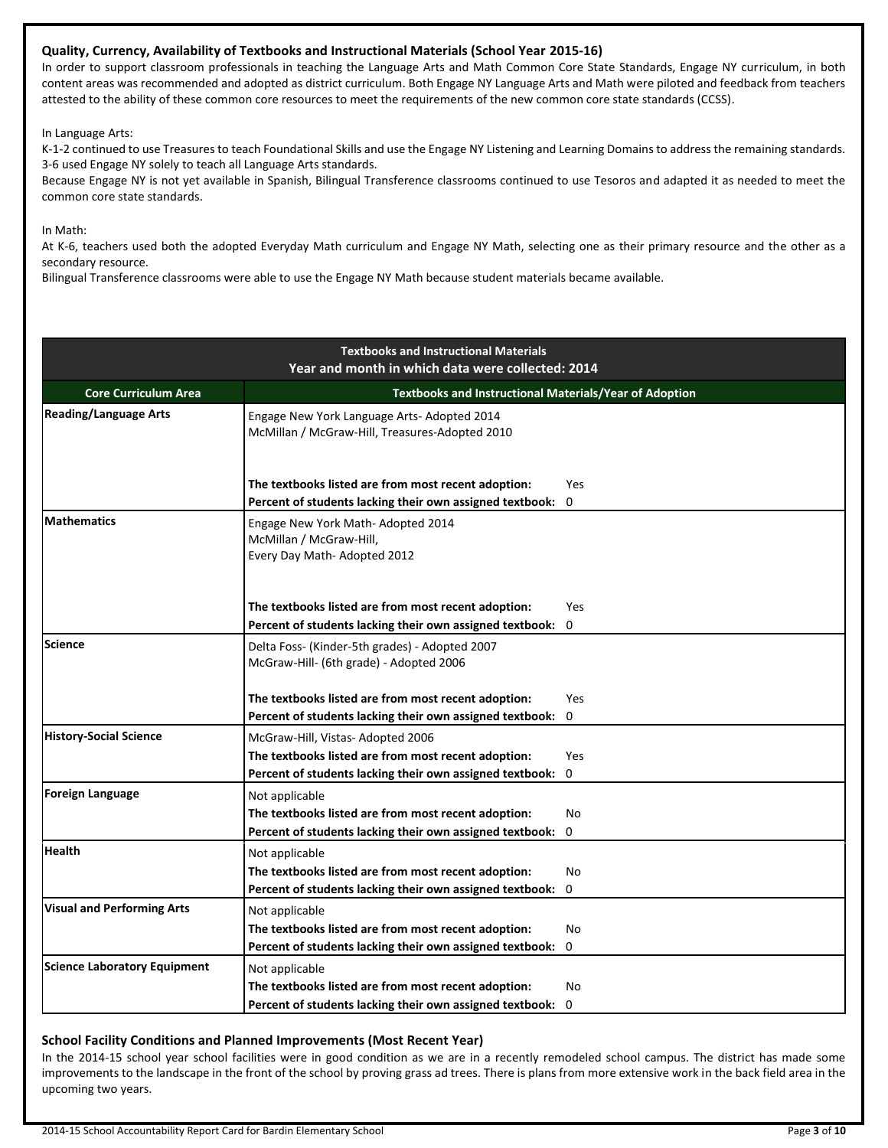# **Quality, Currency, Availability of Textbooks and Instructional Materials (School Year 2015-16)**

In order to support classroom professionals in teaching the Language Arts and Math Common Core State Standards, Engage NY curriculum, in both content areas was recommended and adopted as district curriculum. Both Engage NY Language Arts and Math were piloted and feedback from teachers attested to the ability of these common core resources to meet the requirements of the new common core state standards (CCSS).

In Language Arts:

K-1-2 continued to use Treasures to teach Foundational Skills and use the Engage NY Listening and Learning Domains to address the remaining standards. 3-6 used Engage NY solely to teach all Language Arts standards.

Because Engage NY is not yet available in Spanish, Bilingual Transference classrooms continued to use Tesoros and adapted it as needed to meet the common core state standards.

In Math:

At K-6, teachers used both the adopted Everyday Math curriculum and Engage NY Math, selecting one as their primary resource and the other as a secondary resource.

Bilingual Transference classrooms were able to use the Engage NY Math because student materials became available.

|                                     | <b>Textbooks and Instructional Materials</b><br>Year and month in which data were collected: 2014               |                    |  |  |  |  |  |  |
|-------------------------------------|-----------------------------------------------------------------------------------------------------------------|--------------------|--|--|--|--|--|--|
| <b>Core Curriculum Area</b>         | <b>Textbooks and Instructional Materials/Year of Adoption</b>                                                   |                    |  |  |  |  |  |  |
| <b>Reading/Language Arts</b>        | Engage New York Language Arts- Adopted 2014<br>McMillan / McGraw-Hill, Treasures-Adopted 2010                   |                    |  |  |  |  |  |  |
|                                     | The textbooks listed are from most recent adoption:                                                             | <b>Yes</b>         |  |  |  |  |  |  |
|                                     | Percent of students lacking their own assigned textbook:                                                        | 0                  |  |  |  |  |  |  |
| <b>Mathematics</b>                  | Engage New York Math- Adopted 2014<br>McMillan / McGraw-Hill,<br>Every Day Math- Adopted 2012                   |                    |  |  |  |  |  |  |
|                                     | The textbooks listed are from most recent adoption:<br>Percent of students lacking their own assigned textbook: | Yes<br>$\mathbf 0$ |  |  |  |  |  |  |
| <b>Science</b>                      | Delta Foss- (Kinder-5th grades) - Adopted 2007<br>McGraw-Hill- (6th grade) - Adopted 2006                       |                    |  |  |  |  |  |  |
|                                     | The textbooks listed are from most recent adoption:                                                             | Yes                |  |  |  |  |  |  |
|                                     | Percent of students lacking their own assigned textbook:                                                        | 0                  |  |  |  |  |  |  |
| <b>History-Social Science</b>       | McGraw-Hill, Vistas-Adopted 2006                                                                                |                    |  |  |  |  |  |  |
|                                     | The textbooks listed are from most recent adoption:                                                             | Yes                |  |  |  |  |  |  |
|                                     | Percent of students lacking their own assigned textbook:                                                        | $\mathbf 0$        |  |  |  |  |  |  |
| <b>Foreign Language</b>             | Not applicable                                                                                                  |                    |  |  |  |  |  |  |
|                                     | The textbooks listed are from most recent adoption:                                                             | No                 |  |  |  |  |  |  |
|                                     | Percent of students lacking their own assigned textbook:                                                        | $\mathbf 0$        |  |  |  |  |  |  |
| <b>Health</b>                       | Not applicable                                                                                                  |                    |  |  |  |  |  |  |
|                                     | The textbooks listed are from most recent adoption:                                                             | No                 |  |  |  |  |  |  |
|                                     | Percent of students lacking their own assigned textbook:                                                        | $\mathbf{0}$       |  |  |  |  |  |  |
| <b>Visual and Performing Arts</b>   | Not applicable                                                                                                  |                    |  |  |  |  |  |  |
|                                     | The textbooks listed are from most recent adoption:                                                             | No                 |  |  |  |  |  |  |
|                                     | Percent of students lacking their own assigned textbook:                                                        | $\Omega$           |  |  |  |  |  |  |
| <b>Science Laboratory Equipment</b> | Not applicable                                                                                                  |                    |  |  |  |  |  |  |
|                                     | The textbooks listed are from most recent adoption:                                                             | No                 |  |  |  |  |  |  |
|                                     | Percent of students lacking their own assigned textbook:                                                        | $\Omega$           |  |  |  |  |  |  |

# **School Facility Conditions and Planned Improvements (Most Recent Year)**

In the 2014-15 school year school facilities were in good condition as we are in a recently remodeled school campus. The district has made some improvements to the landscape in the front of the school by proving grass ad trees. There is plans from more extensive work in the back field area in the upcoming two years.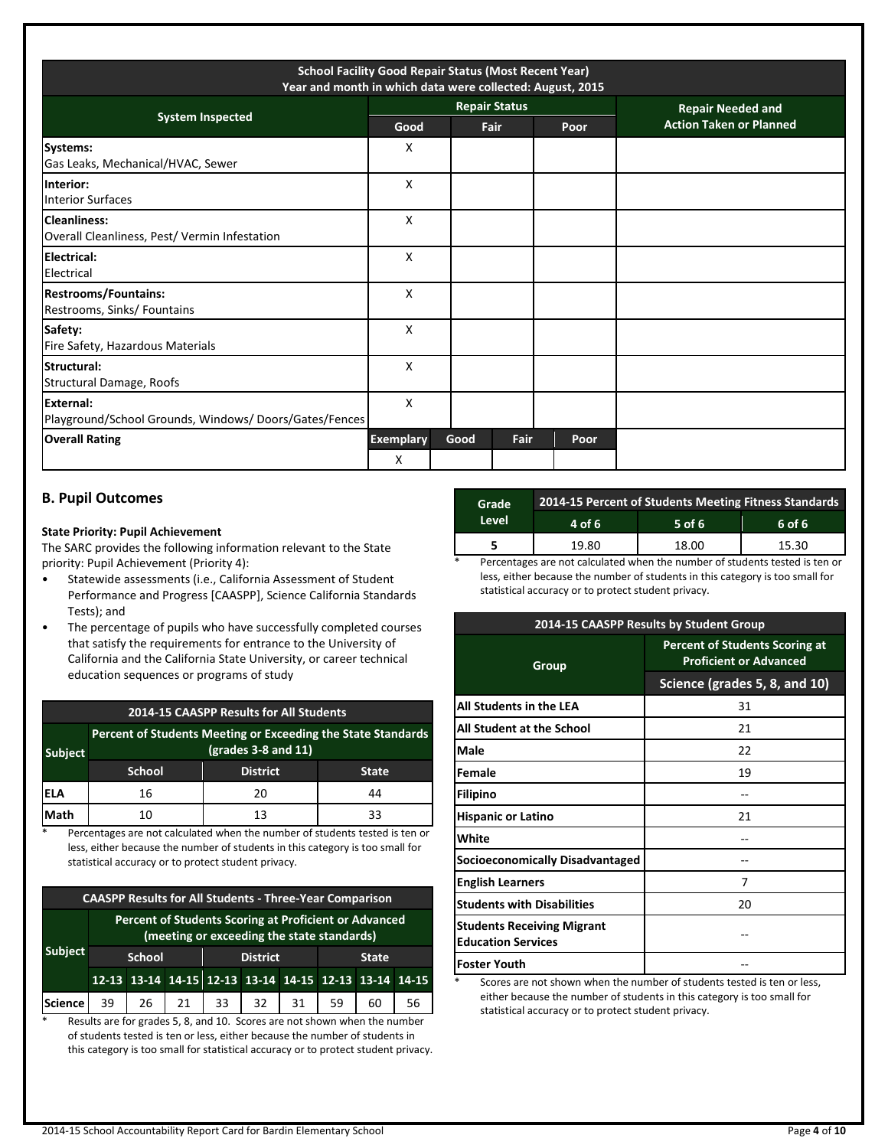| <b>School Facility Good Repair Status (Most Recent Year)</b><br>Year and month in which data were collected: August, 2015 |                       |      |                      |      |  |                                |  |
|---------------------------------------------------------------------------------------------------------------------------|-----------------------|------|----------------------|------|--|--------------------------------|--|
| <b>System Inspected</b>                                                                                                   |                       |      | <b>Repair Status</b> |      |  | <b>Repair Needed and</b>       |  |
|                                                                                                                           | Good                  |      | Fair                 | Poor |  | <b>Action Taken or Planned</b> |  |
| Systems:<br>Gas Leaks, Mechanical/HVAC, Sewer                                                                             | X                     |      |                      |      |  |                                |  |
| Interior:<br><b>Interior Surfaces</b>                                                                                     | x                     |      |                      |      |  |                                |  |
| <b>Cleanliness:</b><br>Overall Cleanliness, Pest/ Vermin Infestation                                                      | X                     |      |                      |      |  |                                |  |
| Electrical:<br>Electrical                                                                                                 | X                     |      |                      |      |  |                                |  |
| <b>Restrooms/Fountains:</b><br>Restrooms, Sinks/ Fountains                                                                | X                     |      |                      |      |  |                                |  |
| Safety:<br>Fire Safety, Hazardous Materials                                                                               | X                     |      |                      |      |  |                                |  |
| Structural:<br>Structural Damage, Roofs                                                                                   | X                     |      |                      |      |  |                                |  |
| <b>External:</b><br>Playground/School Grounds, Windows/Doors/Gates/Fences                                                 | X                     |      |                      |      |  |                                |  |
| <b>Overall Rating</b>                                                                                                     | <b>Exemplary</b><br>X | Good | Fair                 | Poor |  |                                |  |

# **B. Pupil Outcomes**

#### **State Priority: Pupil Achievement**

The SARC provides the following information relevant to the State priority: Pupil Achievement (Priority 4):

- Statewide assessments (i.e., California Assessment of Student Performance and Progress [CAASPP], Science California Standards Tests); and
- The percentage of pupils who have successfully completed courses that satisfy the requirements for entrance to the University of California and the California State University, or career technical education sequences or programs of study

| <b>2014-15 CAASPP Results for All Students</b>                                                          |               |                 |              |  |  |  |  |
|---------------------------------------------------------------------------------------------------------|---------------|-----------------|--------------|--|--|--|--|
| Percent of Students Meeting or Exceeding the State Standards<br>$(grades 3-8 and 11)$<br><b>Subject</b> |               |                 |              |  |  |  |  |
|                                                                                                         | <b>School</b> | <b>District</b> | <b>State</b> |  |  |  |  |
| IELA                                                                                                    | 16            | 20              | 44           |  |  |  |  |
| Math                                                                                                    | 10            | 13              | 33           |  |  |  |  |

\* Percentages are not calculated when the number of students tested is ten or less, either because the number of students in this category is too small for statistical accuracy or to protect student privacy.

| <b>CAASPP Results for All Students - Three-Year Comparison</b> |                                                                                                     |    |    |                                                       |    |    |    |    |    |
|----------------------------------------------------------------|-----------------------------------------------------------------------------------------------------|----|----|-------------------------------------------------------|----|----|----|----|----|
|                                                                | Percent of Students Scoring at Proficient or Advanced<br>(meeting or exceeding the state standards) |    |    |                                                       |    |    |    |    |    |
| <b>Subject</b>                                                 | <b>District</b><br><b>School</b><br><b>State</b>                                                    |    |    |                                                       |    |    |    |    |    |
|                                                                |                                                                                                     |    |    | 12-13 13-14 14-15 12-13 13-14 14-15 12-13 13-14 14-15 |    |    |    |    |    |
| <b>Science</b>                                                 | 39                                                                                                  | 26 | 21 | 33                                                    | 32 | 31 | 59 | 60 | 56 |

\* Results are for grades 5, 8, and 10. Scores are not shown when the number of students tested is ten or less, either because the number of students in this category is too small for statistical accuracy or to protect student privacy.

| Grade | 2014-15 Percent of Students Meeting Fitness Standards |          |        |  |  |  |
|-------|-------------------------------------------------------|----------|--------|--|--|--|
| Level | 4 of 6                                                | $5$ of 6 | 6 of 6 |  |  |  |
|       | 19.80                                                 | 18.00    | 15.30  |  |  |  |

Percentages are not calculated when the number of students tested is ten or less, either because the number of students in this category is too small for statistical accuracy or to protect student privacy.

| 2014-15 CAASPP Results by Student Group                        |                                                                        |  |  |  |
|----------------------------------------------------------------|------------------------------------------------------------------------|--|--|--|
| Group                                                          | <b>Percent of Students Scoring at</b><br><b>Proficient or Advanced</b> |  |  |  |
|                                                                | Science (grades 5, 8, and 10)                                          |  |  |  |
| All Students in the LEA                                        | 31                                                                     |  |  |  |
| All Student at the School                                      | 21                                                                     |  |  |  |
| Male                                                           | 22                                                                     |  |  |  |
| Female                                                         | 19                                                                     |  |  |  |
| <b>Filipino</b>                                                |                                                                        |  |  |  |
| <b>Hispanic or Latino</b>                                      | 21                                                                     |  |  |  |
| White                                                          |                                                                        |  |  |  |
| Socioeconomically Disadvantaged                                |                                                                        |  |  |  |
| <b>English Learners</b>                                        | 7                                                                      |  |  |  |
| <b>Students with Disabilities</b>                              | 20                                                                     |  |  |  |
| <b>Students Receiving Migrant</b><br><b>Education Services</b> |                                                                        |  |  |  |
| <b>Foster Youth</b>                                            |                                                                        |  |  |  |

Scores are not shown when the number of students tested is ten or less, either because the number of students in this category is too small for statistical accuracy or to protect student privacy.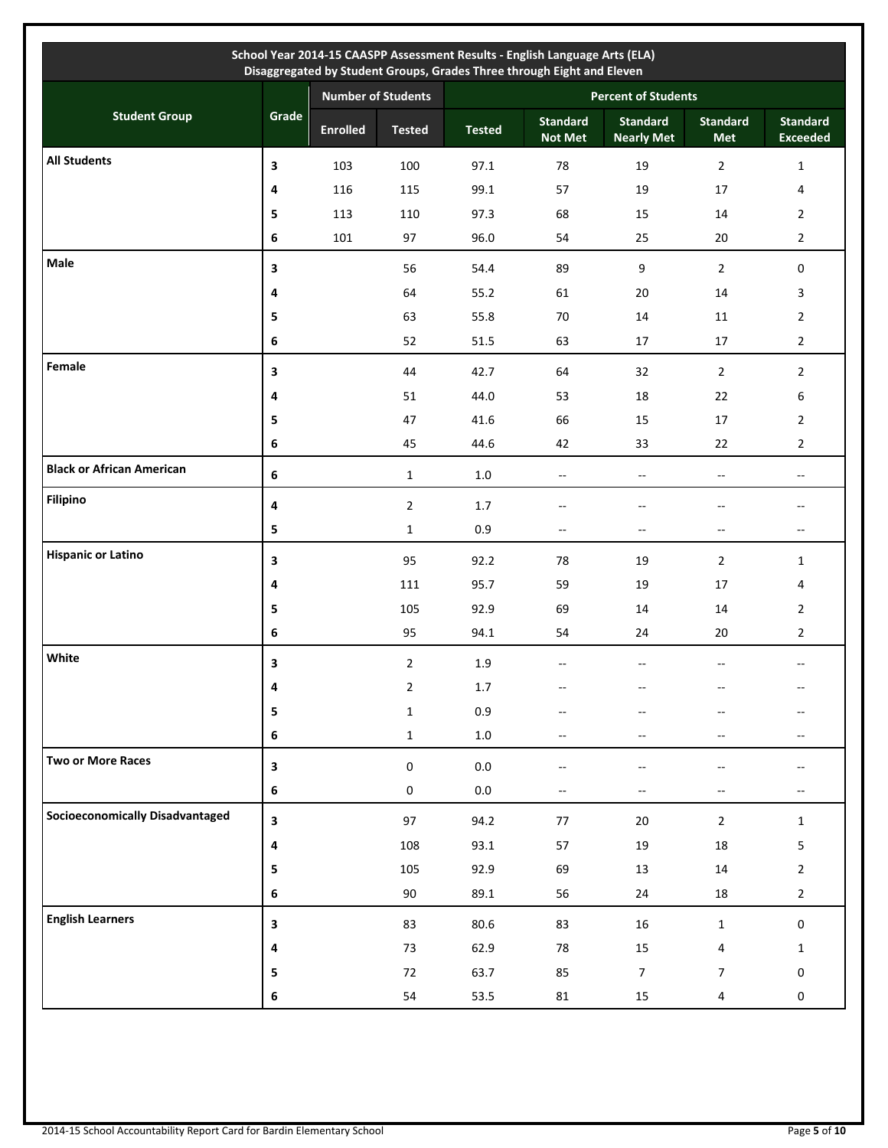|                                        |                         |                           |                |                            | School Year 2014-15 CAASPP Assessment Results - English Language Arts (ELA)<br>Disaggregated by Student Groups, Grades Three through Eight and Eleven |                                      |                               |                                                     |  |
|----------------------------------------|-------------------------|---------------------------|----------------|----------------------------|-------------------------------------------------------------------------------------------------------------------------------------------------------|--------------------------------------|-------------------------------|-----------------------------------------------------|--|
|                                        |                         | <b>Number of Students</b> |                | <b>Percent of Students</b> |                                                                                                                                                       |                                      |                               |                                                     |  |
| <b>Student Group</b>                   | Grade                   | <b>Enrolled</b>           | <b>Tested</b>  | <b>Tested</b>              | <b>Standard</b><br><b>Not Met</b>                                                                                                                     | <b>Standard</b><br><b>Nearly Met</b> | <b>Standard</b><br><b>Met</b> | <b>Standard</b><br><b>Exceeded</b>                  |  |
| <b>All Students</b>                    | 3                       | 103                       | 100            | 97.1                       | 78                                                                                                                                                    | 19                                   | $\overline{2}$                | $\mathbf{1}$                                        |  |
|                                        | 4                       | 116                       | 115            | 99.1                       | 57                                                                                                                                                    | 19                                   | 17                            | 4                                                   |  |
|                                        | 5                       | 113                       | 110            | 97.3                       | 68                                                                                                                                                    | 15                                   | 14                            | $\overline{2}$                                      |  |
|                                        | 6                       | 101                       | 97             | 96.0                       | 54                                                                                                                                                    | 25                                   | 20                            | $\overline{2}$                                      |  |
| Male                                   | 3                       |                           | 56             | 54.4                       | 89                                                                                                                                                    | 9                                    | $\overline{2}$                | $\mathbf 0$                                         |  |
|                                        | 4                       |                           | 64             | 55.2                       | 61                                                                                                                                                    | 20                                   | 14                            | 3                                                   |  |
|                                        | 5                       |                           | 63             | 55.8                       | 70                                                                                                                                                    | 14                                   | 11                            | $\overline{2}$                                      |  |
|                                        | 6                       |                           | 52             | 51.5                       | 63                                                                                                                                                    | 17                                   | 17                            | $\overline{2}$                                      |  |
| Female                                 | 3                       |                           | 44             | 42.7                       | 64                                                                                                                                                    | 32                                   | $\overline{2}$                | $\overline{2}$                                      |  |
|                                        | 4                       |                           | 51             | 44.0                       | 53                                                                                                                                                    | 18                                   | 22                            | 6                                                   |  |
|                                        | 5                       |                           | 47             | 41.6                       | 66                                                                                                                                                    | 15                                   | 17                            | $\overline{2}$                                      |  |
|                                        | 6                       |                           | 45             | 44.6                       | 42                                                                                                                                                    | 33                                   | 22                            | $\overline{2}$                                      |  |
| <b>Black or African American</b>       | 6                       |                           | $\mathbf{1}$   | 1.0                        | $\overline{\phantom{a}}$                                                                                                                              | $\overline{\phantom{a}}$             | $-$                           | $\qquad \qquad -$                                   |  |
| <b>Filipino</b>                        | 4                       |                           | $\overline{2}$ | 1.7                        | --                                                                                                                                                    | --                                   | $-$                           | --                                                  |  |
|                                        | 5                       |                           | $\mathbf{1}$   | 0.9                        | $\overline{\phantom{a}}$                                                                                                                              | $-\!$                                | $- -$                         | $\hspace{0.05cm} -\hspace{0.05cm} -\hspace{0.05cm}$ |  |
| <b>Hispanic or Latino</b>              | 3                       |                           | 95             | 92.2                       | 78                                                                                                                                                    | 19                                   | $\overline{2}$                | $\mathbf{1}$                                        |  |
|                                        | 4                       |                           | 111            | 95.7                       | 59                                                                                                                                                    | 19                                   | 17                            | 4                                                   |  |
|                                        | 5                       |                           | 105            | 92.9                       | 69                                                                                                                                                    | 14                                   | 14                            | $\overline{2}$                                      |  |
|                                        | 6                       |                           | 95             | 94.1                       | 54                                                                                                                                                    | 24                                   | 20                            | $\overline{2}$                                      |  |
| White                                  | 3                       |                           | $\overline{2}$ | 1.9                        | $- -$                                                                                                                                                 | $\overline{\phantom{a}}$             | $\overline{a}$                | $\overline{\phantom{a}}$                            |  |
|                                        | 4                       |                           | $\overline{2}$ | $1.7\,$                    |                                                                                                                                                       |                                      |                               |                                                     |  |
|                                        | 5                       |                           | $\mathbf{1}$   | 0.9                        |                                                                                                                                                       |                                      |                               |                                                     |  |
|                                        | 6                       |                           | $\mathbf 1$    | $1.0\,$                    | --                                                                                                                                                    |                                      | $-$                           |                                                     |  |
| Two or More Races                      | 3                       |                           | $\pmb{0}$      | $0.0\,$                    | --                                                                                                                                                    |                                      |                               |                                                     |  |
|                                        | 6                       |                           | $\mathbf 0$    | $0.0\,$                    | --                                                                                                                                                    | $- -$                                | $- -$                         |                                                     |  |
| <b>Socioeconomically Disadvantaged</b> | $\overline{\mathbf{3}}$ |                           | 97             | 94.2                       | $77\,$                                                                                                                                                | $20\,$                               | $\overline{2}$                | $\mathbf{1}$                                        |  |
|                                        | 4                       |                           | 108            | 93.1                       | 57                                                                                                                                                    | 19                                   | 18                            | 5                                                   |  |
|                                        | 5                       |                           | 105            | 92.9                       | 69                                                                                                                                                    | 13                                   | 14                            | $\overline{2}$                                      |  |
|                                        | 6                       |                           | 90             | 89.1                       | 56                                                                                                                                                    | 24                                   | 18                            | $\overline{2}$                                      |  |
| <b>English Learners</b>                | 3                       |                           | 83             | 80.6                       | 83                                                                                                                                                    | $16\,$                               | $\mathbf 1$                   | $\mathsf{O}\xspace$                                 |  |
|                                        | 4                       |                           | 73             | 62.9                       | 78                                                                                                                                                    | 15                                   | 4                             | $\mathbf{1}$                                        |  |
|                                        | 5                       |                           | 72             | 63.7                       | 85                                                                                                                                                    | $\overline{7}$                       | 7                             | 0                                                   |  |
|                                        | 6                       |                           | 54             | 53.5                       | 81                                                                                                                                                    | 15                                   | 4                             | $\boldsymbol{0}$                                    |  |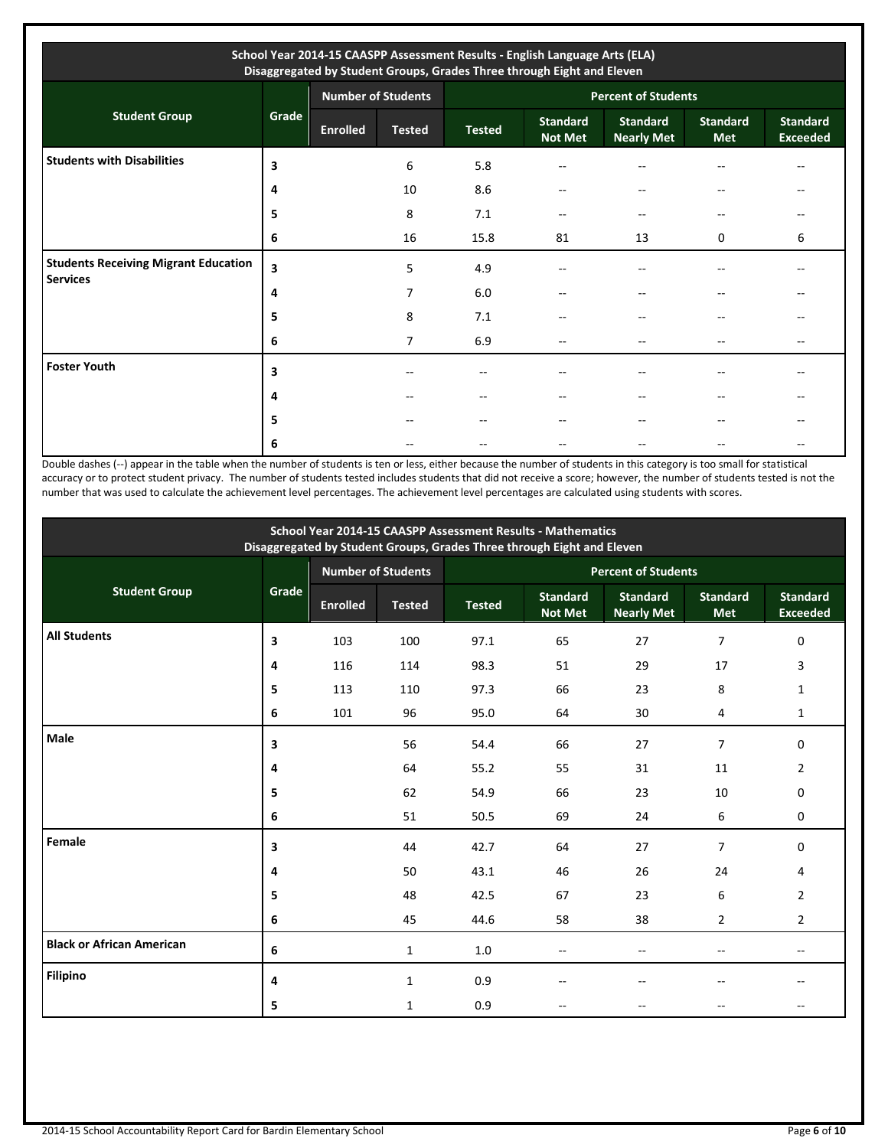| School Year 2014-15 CAASPP Assessment Results - English Language Arts (ELA)<br>Disaggregated by Student Groups, Grades Three through Eight and Eleven |       |                           |                |                            |                                   |                                      |                               |                                    |  |
|-------------------------------------------------------------------------------------------------------------------------------------------------------|-------|---------------------------|----------------|----------------------------|-----------------------------------|--------------------------------------|-------------------------------|------------------------------------|--|
|                                                                                                                                                       |       | <b>Number of Students</b> |                | <b>Percent of Students</b> |                                   |                                      |                               |                                    |  |
| <b>Student Group</b>                                                                                                                                  | Grade | <b>Enrolled</b>           | <b>Tested</b>  | <b>Tested</b>              | <b>Standard</b><br><b>Not Met</b> | <b>Standard</b><br><b>Nearly Met</b> | <b>Standard</b><br><b>Met</b> | <b>Standard</b><br><b>Exceeded</b> |  |
| <b>Students with Disabilities</b>                                                                                                                     | 3     |                           | 6              | 5.8                        | $-$                               |                                      | --                            | --                                 |  |
|                                                                                                                                                       | 4     |                           | 10             | 8.6                        | --                                | $-$                                  | $- -$                         | --                                 |  |
|                                                                                                                                                       | 5     |                           | 8              | 7.1                        | $-$                               | $-$                                  | $- -$                         |                                    |  |
|                                                                                                                                                       | 6     |                           | 16             | 15.8                       | 81                                | 13                                   | $\Omega$                      | 6                                  |  |
| <b>Students Receiving Migrant Education</b><br><b>Services</b>                                                                                        | 3     |                           | 5              | 4.9                        | --                                |                                      |                               |                                    |  |
|                                                                                                                                                       | 4     |                           | 7              | 6.0                        | $-$                               |                                      | --                            |                                    |  |
|                                                                                                                                                       | 5     |                           | 8              | 7.1                        | --                                |                                      | --                            |                                    |  |
|                                                                                                                                                       | 6     |                           | $\overline{7}$ | 6.9                        | $-$                               |                                      | $- -$                         | --                                 |  |
| <b>Foster Youth</b>                                                                                                                                   | 3     |                           | $-$            | --                         | $-$                               | $-$                                  | --                            | --                                 |  |
|                                                                                                                                                       | 4     |                           | --             | $- -$                      | $-$                               |                                      | $-$                           |                                    |  |
|                                                                                                                                                       | 5     |                           | --             | $- -$                      | $-$                               | --                                   | $-$                           |                                    |  |
|                                                                                                                                                       | 6     |                           |                |                            |                                   |                                      |                               |                                    |  |

Double dashes (--) appear in the table when the number of students is ten or less, either because the number of students in this category is too small for statistical accuracy or to protect student privacy. The number of students tested includes students that did not receive a score; however, the number of students tested is not the number that was used to calculate the achievement level percentages. The achievement level percentages are calculated using students with scores.

| School Year 2014-15 CAASPP Assessment Results - Mathematics<br>Disaggregated by Student Groups, Grades Three through Eight and Eleven |       |                 |                           |                            |                                   |                                      |                               |                                    |  |
|---------------------------------------------------------------------------------------------------------------------------------------|-------|-----------------|---------------------------|----------------------------|-----------------------------------|--------------------------------------|-------------------------------|------------------------------------|--|
|                                                                                                                                       |       |                 | <b>Number of Students</b> | <b>Percent of Students</b> |                                   |                                      |                               |                                    |  |
| <b>Student Group</b>                                                                                                                  | Grade | <b>Enrolled</b> | <b>Tested</b>             | <b>Tested</b>              | <b>Standard</b><br><b>Not Met</b> | <b>Standard</b><br><b>Nearly Met</b> | <b>Standard</b><br><b>Met</b> | <b>Standard</b><br><b>Exceeded</b> |  |
| <b>All Students</b>                                                                                                                   | 3     | 103             | 100                       | 97.1                       | 65                                | 27                                   | $\overline{7}$                | $\mathbf 0$                        |  |
|                                                                                                                                       | 4     | 116             | 114                       | 98.3                       | 51                                | 29                                   | 17                            | 3                                  |  |
|                                                                                                                                       | 5     | 113             | 110                       | 97.3                       | 66                                | 23                                   | 8                             | 1                                  |  |
|                                                                                                                                       | 6     | 101             | 96                        | 95.0                       | 64                                | 30                                   | 4                             | $\mathbf{1}$                       |  |
| Male                                                                                                                                  | 3     |                 | 56                        | 54.4                       | 66                                | 27                                   | $\overline{7}$                | 0                                  |  |
|                                                                                                                                       | 4     |                 | 64                        | 55.2                       | 55                                | 31                                   | 11                            | $\overline{2}$                     |  |
|                                                                                                                                       | 5     |                 | 62                        | 54.9                       | 66                                | 23                                   | 10                            | $\mathbf 0$                        |  |
|                                                                                                                                       | 6     |                 | 51                        | 50.5                       | 69                                | 24                                   | 6                             | 0                                  |  |
| Female                                                                                                                                | 3     |                 | 44                        | 42.7                       | 64                                | 27                                   | $\overline{7}$                | $\mathbf 0$                        |  |
|                                                                                                                                       | 4     |                 | 50                        | 43.1                       | 46                                | 26                                   | 24                            | 4                                  |  |
|                                                                                                                                       | 5     |                 | 48                        | 42.5                       | 67                                | 23                                   | 6                             | $\overline{2}$                     |  |
|                                                                                                                                       | 6     |                 | 45                        | 44.6                       | 58                                | 38                                   | $\overline{2}$                | $\overline{2}$                     |  |
| <b>Black or African American</b>                                                                                                      | 6     |                 | 1                         | 1.0                        | $-$                               | $\sim$                               |                               | $-$                                |  |
| <b>Filipino</b>                                                                                                                       | 4     |                 | 1                         | 0.9                        |                                   |                                      |                               |                                    |  |
|                                                                                                                                       | 5     |                 | $\mathbf{1}$              | 0.9                        |                                   |                                      |                               |                                    |  |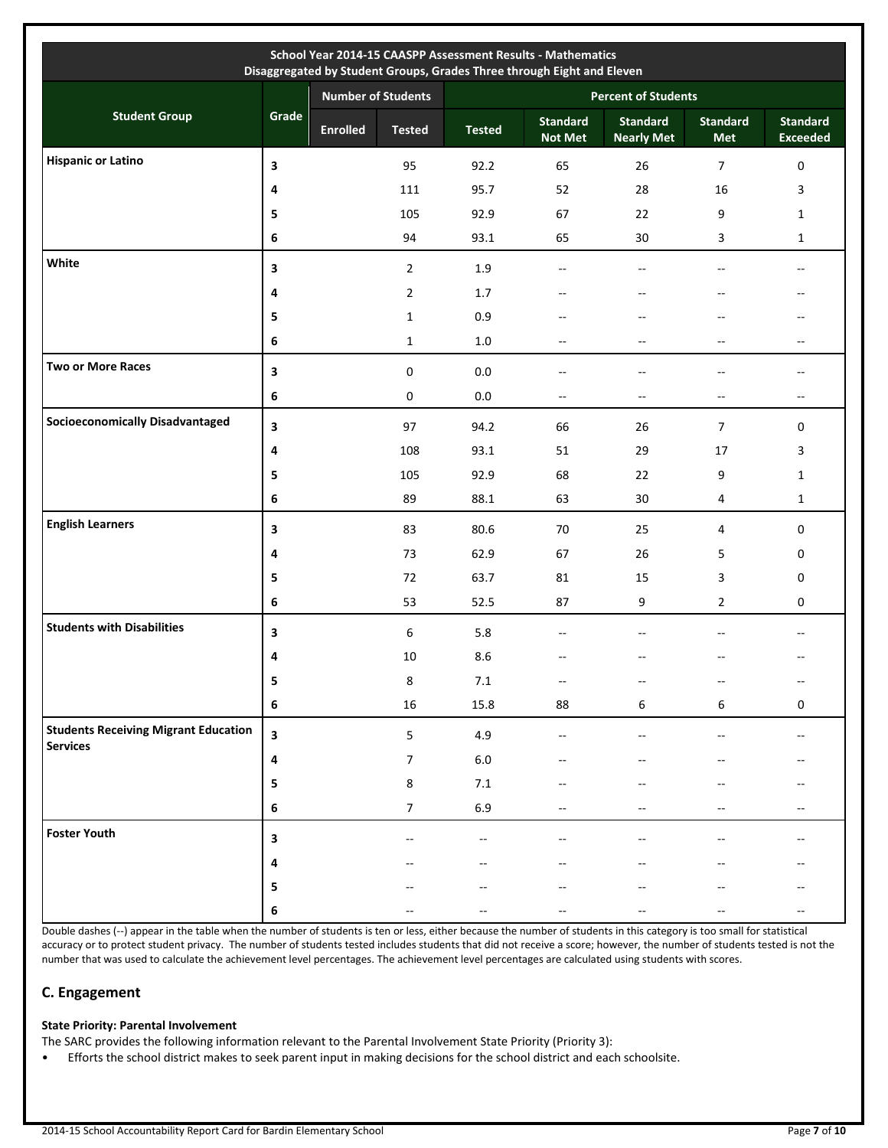|                                                                |                         |                           |                |                            | Disaggregated by Student Groups, Grades Three through Eight and Eleven |                                      |                               |                                    |  |
|----------------------------------------------------------------|-------------------------|---------------------------|----------------|----------------------------|------------------------------------------------------------------------|--------------------------------------|-------------------------------|------------------------------------|--|
|                                                                |                         | <b>Number of Students</b> |                | <b>Percent of Students</b> |                                                                        |                                      |                               |                                    |  |
| <b>Student Group</b>                                           | Grade                   | <b>Enrolled</b>           | <b>Tested</b>  | <b>Tested</b>              | <b>Standard</b><br><b>Not Met</b>                                      | <b>Standard</b><br><b>Nearly Met</b> | <b>Standard</b><br><b>Met</b> | <b>Standard</b><br><b>Exceeded</b> |  |
| <b>Hispanic or Latino</b>                                      | 3                       |                           | 95             | 92.2                       | 65                                                                     | 26                                   | $\overline{7}$                | $\boldsymbol{0}$                   |  |
|                                                                | 4                       |                           | 111            | 95.7                       | 52                                                                     | 28                                   | 16                            | 3                                  |  |
|                                                                | 5                       |                           | 105            | 92.9                       | 67                                                                     | 22                                   | 9                             | $\mathbf{1}$                       |  |
|                                                                | 6                       |                           | 94             | 93.1                       | 65                                                                     | 30                                   | 3                             | $\mathbf{1}$                       |  |
| White                                                          | 3                       |                           | $\overline{2}$ | 1.9                        | $-$                                                                    | $-$                                  | $\overline{\phantom{a}}$      | $\overline{\phantom{a}}$           |  |
|                                                                | 4                       |                           | $\overline{2}$ | 1.7                        | $\overline{\phantom{a}}$                                               | $\overline{\phantom{a}}$             | $-$                           | --                                 |  |
|                                                                | 5                       |                           | $\mathbf{1}$   | 0.9                        | --                                                                     |                                      | --                            | $- -$                              |  |
|                                                                | 6                       |                           | $\mathbf{1}$   | 1.0                        | $\overline{\phantom{a}}$                                               | $\overline{\phantom{a}}$             | --                            | --                                 |  |
| <b>Two or More Races</b>                                       | 3                       |                           | $\pmb{0}$      | $0.0\,$                    | $-$                                                                    | $\overline{a}$                       | $-$                           | $- -$                              |  |
|                                                                | 6                       |                           | 0              | $0.0\,$                    | $\overline{\phantom{a}}$                                               | $\overline{\phantom{a}}$             | $\overline{\phantom{a}}$      | $\overline{\phantom{a}}$           |  |
| <b>Socioeconomically Disadvantaged</b>                         | 3                       |                           | 97             | 94.2                       | 66                                                                     | 26                                   | $\overline{7}$                | $\pmb{0}$                          |  |
|                                                                | 4                       |                           | 108            | 93.1                       | 51                                                                     | 29                                   | 17                            | 3                                  |  |
|                                                                | 5                       |                           | 105            | 92.9                       | 68                                                                     | 22                                   | 9                             | $\mathbf{1}$                       |  |
|                                                                | 6                       |                           | 89             | 88.1                       | 63                                                                     | 30                                   | $\overline{4}$                | $\mathbf{1}$                       |  |
| <b>English Learners</b>                                        | 3                       |                           | 83             | 80.6                       | 70                                                                     | 25                                   | $\overline{4}$                | $\boldsymbol{0}$                   |  |
|                                                                | 4                       |                           | 73             | 62.9                       | 67                                                                     | 26                                   | 5                             | 0                                  |  |
|                                                                | 5                       |                           | 72             | 63.7                       | 81                                                                     | 15                                   | 3                             | 0                                  |  |
|                                                                | 6                       |                           | 53             | 52.5                       | 87                                                                     | 9                                    | $\overline{2}$                | 0                                  |  |
| <b>Students with Disabilities</b>                              | 3                       |                           | 6              | 5.8                        | $-$                                                                    | $\overline{a}$                       | $-$                           | $-$                                |  |
|                                                                | 4                       |                           | 10             | 8.6                        | --                                                                     |                                      |                               | --                                 |  |
|                                                                | 5                       |                           | 8              | 7.1                        | --                                                                     | $-\hbox{--}$                         |                               | $\overline{\phantom{a}}$           |  |
|                                                                | $\bf 6$                 |                           | $16\,$         | 15.8                       | 88                                                                     | 6                                    | 6                             | $\mathbf 0$                        |  |
| <b>Students Receiving Migrant Education</b><br><b>Services</b> | $\overline{\mathbf{3}}$ |                           | 5              | 4.9                        | --                                                                     |                                      |                               | $\overline{\phantom{a}}$           |  |
|                                                                | 4                       |                           | 7              | $6.0\,$                    |                                                                        |                                      |                               |                                    |  |
|                                                                | 5                       |                           | 8              | $7.1\,$                    |                                                                        |                                      |                               |                                    |  |
|                                                                | 6                       |                           | 7              | 6.9                        | --                                                                     |                                      |                               | --                                 |  |
| <b>Foster Youth</b>                                            | 3                       |                           |                |                            |                                                                        |                                      |                               |                                    |  |
|                                                                | 4                       |                           |                |                            |                                                                        |                                      |                               |                                    |  |
|                                                                | 5                       |                           |                |                            |                                                                        |                                      |                               |                                    |  |
|                                                                | 6                       |                           |                |                            |                                                                        |                                      |                               |                                    |  |

Double dashes (--) appear in the table when the number of students is ten or less, either because the number of students in this category is too small for statistical accuracy or to protect student privacy. The number of students tested includes students that did not receive a score; however, the number of students tested is not the number that was used to calculate the achievement level percentages. The achievement level percentages are calculated using students with scores.

# **C. Engagement**

# **State Priority: Parental Involvement**

The SARC provides the following information relevant to the Parental Involvement State Priority (Priority 3):

• Efforts the school district makes to seek parent input in making decisions for the school district and each schoolsite.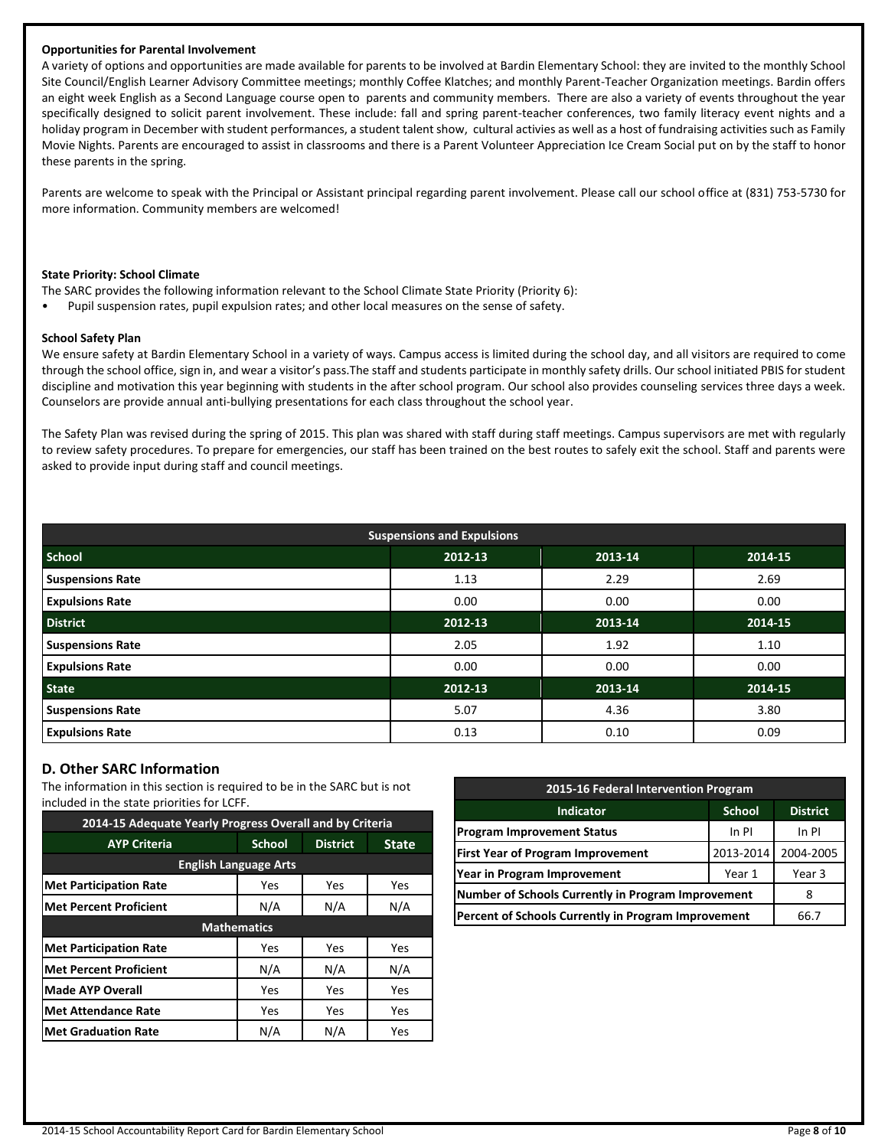#### **Opportunities for Parental Involvement**

A variety of options and opportunities are made available for parents to be involved at Bardin Elementary School: they are invited to the monthly School Site Council/English Learner Advisory Committee meetings; monthly Coffee Klatches; and monthly Parent-Teacher Organization meetings. Bardin offers an eight week English as a Second Language course open to parents and community members. There are also a variety of events throughout the year specifically designed to solicit parent involvement. These include: fall and spring parent-teacher conferences, two family literacy event nights and a holiday program in December with student performances, a student talent show, cultural activies as well as a host of fundraising activities such as Family Movie Nights. Parents are encouraged to assist in classrooms and there is a Parent Volunteer Appreciation Ice Cream Social put on by the staff to honor these parents in the spring.

Parents are welcome to speak with the Principal or Assistant principal regarding parent involvement. Please call our school office at (831) 753-5730 for more information. Community members are welcomed!

#### **State Priority: School Climate**

- The SARC provides the following information relevant to the School Climate State Priority (Priority 6):
- Pupil suspension rates, pupil expulsion rates; and other local measures on the sense of safety.

#### **School Safety Plan**

We ensure safety at Bardin Elementary School in a variety of ways. Campus access is limited during the school day, and all visitors are required to come through the school office, sign in, and wear a visitor's pass.The staff and students participate in monthly safety drills. Our school initiated PBIS for student discipline and motivation this year beginning with students in the after school program. Our school also provides counseling services three days a week. Counselors are provide annual anti-bullying presentations for each class throughout the school year.

The Safety Plan was revised during the spring of 2015. This plan was shared with staff during staff meetings. Campus supervisors are met with regularly to review safety procedures. To prepare for emergencies, our staff has been trained on the best routes to safely exit the school. Staff and parents were asked to provide input during staff and council meetings.

| <b>Suspensions and Expulsions</b> |         |         |         |  |  |  |  |
|-----------------------------------|---------|---------|---------|--|--|--|--|
| <b>School</b>                     | 2012-13 | 2013-14 | 2014-15 |  |  |  |  |
| <b>Suspensions Rate</b>           | 1.13    | 2.29    | 2.69    |  |  |  |  |
| <b>Expulsions Rate</b>            | 0.00    | 0.00    | 0.00    |  |  |  |  |
| <b>District</b>                   | 2012-13 | 2013-14 | 2014-15 |  |  |  |  |
| <b>Suspensions Rate</b>           | 2.05    | 1.92    | 1.10    |  |  |  |  |
| <b>Expulsions Rate</b>            | 0.00    | 0.00    | 0.00    |  |  |  |  |
| <b>State</b>                      | 2012-13 | 2013-14 | 2014-15 |  |  |  |  |
| <b>Suspensions Rate</b>           | 5.07    | 4.36    | 3.80    |  |  |  |  |
| <b>Expulsions Rate</b>            | 0.13    | 0.10    | 0.09    |  |  |  |  |

# **D. Other SARC Information**

The information in this section is required to be in the SARC but is not included in the state priorities for LCFF.

| 2014-15 Adequate Yearly Progress Overall and by Criteria |                    |                 |              |  |  |  |  |  |
|----------------------------------------------------------|--------------------|-----------------|--------------|--|--|--|--|--|
| <b>AYP Criteria</b>                                      | <b>School</b>      | <b>District</b> | <b>State</b> |  |  |  |  |  |
| <b>English Language Arts</b>                             |                    |                 |              |  |  |  |  |  |
| <b>Met Participation Rate</b>                            | Yes                | Yes             | Yes          |  |  |  |  |  |
| <b>Met Percent Proficient</b>                            | N/A<br>N/A         |                 | N/A          |  |  |  |  |  |
|                                                          | <b>Mathematics</b> |                 |              |  |  |  |  |  |
| <b>Met Participation Rate</b>                            | Yes                | Yes             | Yes          |  |  |  |  |  |
| <b>Met Percent Proficient</b>                            | N/A                | N/A             | N/A          |  |  |  |  |  |
| <b>Made AYP Overall</b>                                  | Yes                | Yes             | Yes          |  |  |  |  |  |
| <b>Met Attendance Rate</b>                               | Yes                | Yes             | Yes          |  |  |  |  |  |
| <b>Met Graduation Rate</b>                               | N/A                | N/A             | Yes          |  |  |  |  |  |

| 2015-16 Federal Intervention Program                |               |                 |  |  |  |
|-----------------------------------------------------|---------------|-----------------|--|--|--|
| <b>Indicator</b>                                    | <b>School</b> | <b>District</b> |  |  |  |
| <b>Program Improvement Status</b>                   | In PI         |                 |  |  |  |
| <b>First Year of Program Improvement</b>            | 2013-2014     | 2004-2005       |  |  |  |
| Year in Program Improvement                         | Year 3        |                 |  |  |  |
| Number of Schools Currently in Program Improvement  |               |                 |  |  |  |
| Percent of Schools Currently in Program Improvement | 66.7          |                 |  |  |  |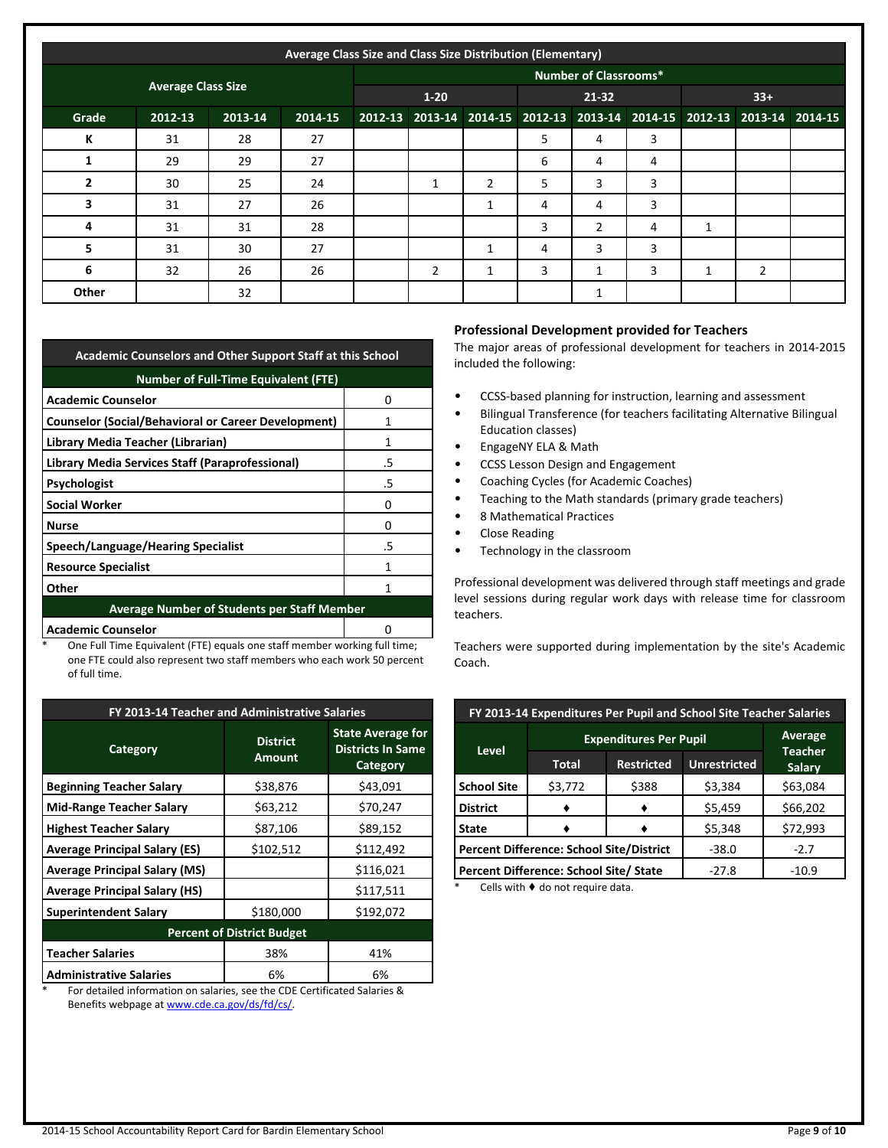|                | Average Class Size and Class Size Distribution (Elementary) |         |         |          |                |   |                                                                         |                              |   |       |   |  |
|----------------|-------------------------------------------------------------|---------|---------|----------|----------------|---|-------------------------------------------------------------------------|------------------------------|---|-------|---|--|
|                |                                                             |         |         |          |                |   |                                                                         | <b>Number of Classrooms*</b> |   |       |   |  |
|                | <b>Average Class Size</b>                                   |         |         | $1 - 20$ |                |   | 21-32                                                                   |                              |   | $33+$ |   |  |
| Grade          | 2012-13                                                     | 2013-14 | 2014-15 |          |                |   | 2012-13 2013-14 2014-15 2012-13 2013-14 2014-15 2012-13 2013-14 2014-15 |                              |   |       |   |  |
| К              | 31                                                          | 28      | 27      |          |                |   | 5                                                                       | 4                            | 3 |       |   |  |
|                | 29                                                          | 29      | 27      |          |                |   | 6                                                                       | 4                            | 4 |       |   |  |
| $\overline{2}$ | 30                                                          | 25      | 24      |          | 1              | 2 | 5                                                                       | 3                            | 3 |       |   |  |
| 3              | 31                                                          | 27      | 26      |          |                | 1 | 4                                                                       | 4                            | 3 |       |   |  |
| 4              | 31                                                          | 31      | 28      |          |                |   | 3                                                                       | $\overline{2}$               | 4 | 1     |   |  |
| 5              | 31                                                          | 30      | 27      |          |                |   | 4                                                                       | 3                            | 3 |       |   |  |
| 6              | 32                                                          | 26      | 26      |          | $\overline{2}$ |   | 3                                                                       | 1                            | 3 | 1     | 2 |  |
| Other          |                                                             | 32      |         |          |                |   |                                                                         | 1                            |   |       |   |  |

| <b>Academic Counselors and Other Support Staff at this School</b> |    |  |  |  |
|-------------------------------------------------------------------|----|--|--|--|
| <b>Number of Full-Time Equivalent (FTE)</b>                       |    |  |  |  |
| <b>Academic Counselor</b>                                         | 0  |  |  |  |
| <b>Counselor (Social/Behavioral or Career Development)</b>        |    |  |  |  |
| Library Media Teacher (Librarian)                                 | 1  |  |  |  |
| Library Media Services Staff (Paraprofessional)                   | .5 |  |  |  |
| Psychologist                                                      | .5 |  |  |  |
| <b>Social Worker</b>                                              | n  |  |  |  |
| <b>Nurse</b>                                                      | 0  |  |  |  |
| Speech/Language/Hearing Specialist                                | .5 |  |  |  |
| <b>Resource Specialist</b>                                        | 1  |  |  |  |
| Other                                                             |    |  |  |  |
| <b>Average Number of Students per Staff Member</b>                |    |  |  |  |
| <b>Academic Counselor</b><br>O                                    |    |  |  |  |

\* One Full Time Equivalent (FTE) equals one staff member working full time; one FTE could also represent two staff members who each work 50 percent of full time.

| FY 2013-14 Teacher and Administrative Salaries |                                  |                                                                  |  |  |  |  |
|------------------------------------------------|----------------------------------|------------------------------------------------------------------|--|--|--|--|
| Category                                       | <b>District</b><br><b>Amount</b> | <b>State Average for</b><br><b>Districts In Same</b><br>Category |  |  |  |  |
| <b>Beginning Teacher Salary</b>                | \$38,876                         | \$43,091                                                         |  |  |  |  |
| <b>Mid-Range Teacher Salary</b>                | \$63,212                         | \$70,247                                                         |  |  |  |  |
| <b>Highest Teacher Salary</b>                  | \$87,106                         | \$89,152                                                         |  |  |  |  |
| <b>Average Principal Salary (ES)</b>           | \$102,512                        | \$112,492                                                        |  |  |  |  |
| <b>Average Principal Salary (MS)</b>           |                                  | \$116,021                                                        |  |  |  |  |
| <b>Average Principal Salary (HS)</b>           |                                  | \$117,511                                                        |  |  |  |  |
| <b>Superintendent Salary</b>                   | \$180,000                        | \$192,072                                                        |  |  |  |  |
| <b>Percent of District Budget</b>              |                                  |                                                                  |  |  |  |  |
| <b>Teacher Salaries</b>                        | 38%                              | 41%                                                              |  |  |  |  |
| <b>Administrative Salaries</b>                 | 6%                               | 6%                                                               |  |  |  |  |

\* For detailed information on salaries, see the CDE Certificated Salaries & Benefits webpage a[t www.cde.ca.gov/ds/fd/cs/.](http://www.cde.ca.gov/ds/fd/cs/)

## **Professional Development provided for Teachers**

The major areas of professional development for teachers in 2014-2015 included the following:

- CCSS-based planning for instruction, learning and assessment
- Bilingual Transference (for teachers facilitating Alternative Bilingual Education classes)
- EngageNY ELA & Math
- CCSS Lesson Design and Engagement
- Coaching Cycles (for Academic Coaches)
- Teaching to the Math standards (primary grade teachers)
- 8 Mathematical Practices
- Close Reading
- Technology in the classroom

Professional development was delivered through staff meetings and grade level sessions during regular work days with release time for classroom teachers.

Teachers were supported during implementation by the site's Academic Coach.

| FY 2013-14 Expenditures Per Pupil and School Site Teacher Salaries |                                          |                                          |         |          |  |  |  |
|--------------------------------------------------------------------|------------------------------------------|------------------------------------------|---------|----------|--|--|--|
|                                                                    | Average<br><b>Teacher</b>                |                                          |         |          |  |  |  |
| <b>Level</b>                                                       | Total                                    | <b>Unrestricted</b><br><b>Restricted</b> |         |          |  |  |  |
| <b>School Site</b>                                                 | \$3,772                                  | \$388                                    | \$3,384 | \$63,084 |  |  |  |
| <b>District</b>                                                    |                                          |                                          | \$5,459 | \$66,202 |  |  |  |
| <b>State</b>                                                       |                                          |                                          | \$5,348 | \$72,993 |  |  |  |
|                                                                    | Percent Difference: School Site/District | $-38.0$                                  | $-2.7$  |          |  |  |  |
|                                                                    | Percent Difference: School Site/ State   | $-27.8$                                  | $-10.9$ |          |  |  |  |

Cells with  $\blacklozenge$  do not require data.